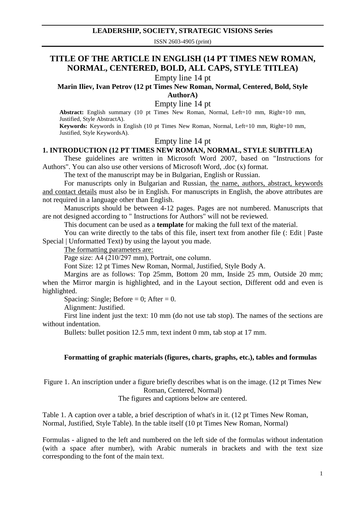## **LEADERSHIP, SOCIETY, STRATEGIC VISIONS Series**

ISSN 2603-4905 (print)

# **TITLE OF THE ARTICLE IN ENGLISH (14 PT TIMES NEW ROMAN, NORMAL, CENTERED, BOLD, ALL CAPS, STYLE TITLEA)**

Empty line 14 pt

**Marin Iliev, Ivan Petrov (12 pt Times New Roman, Normal, Centered, Bold, Style** 

**AuthorA)**

Empty line 14 pt

**Abstract:** English summary (10 pt Times New Roman, Normal, Left=10 mm, Right=10 mm, Justified, Style AbstractA).

**Keywords:** Keywords in English (10 pt Times New Roman, Normal, Left=10 mm, Right=10 mm, Justified, Style KeywordsA).

### Empty line 14 pt

### **1. INTRODUCTION (12 PT TIMES NEW ROMAN, NORMAL, STYLE SUBTITLEA)**

These guidelines are written in Microsoft Word 2007, based on "Instructions for Authors". You can also use other versions of Microsoft Word, .doc (x) format.

The text of the manuscript may be in Bulgarian, English or Russian.

For manuscripts only in Bulgarian and Russian, the name, authors, abstract, keywords and contact details must also be in English. For manuscripts in English, the above attributes are not required in a language other than English.

Manuscripts should be between 4-12 pages. Pages are not numbered. Manuscripts that are not designed according to " Instructions for Authors" will not be reviewed.

This document can be used as a **template** for making the full text of the material.

You can write directly to the tabs of this file, insert text from another file (: Edit | Paste Special | Unformatted Text) by using the layout you made.

The formatting parameters are:

Page size: A4 (210/297 mm), Portrait, one column.

Font Size: 12 pt Times New Roman, Normal, Justified, Style Body A.

Margins are as follows: Top 25mm, Bottom 20 mm, Inside 25 mm, Outside 20 mm; when the Mirror margin is highlighted, and in the Layout section, Different odd and even is highlighted.

Spacing: Single; Before = 0; After = 0.

Alignment: Justified.

First line indent just the text: 10 mm (do not use tab stop). The names of the sections are without indentation.

Bullets: bullet position 12.5 mm, text indent 0 mm, tab stop at 17 mm.

### **Formatting of graphic materials (figures, charts, graphs, etc.), tables and formulas**

Figure 1. An inscription under a figure briefly describes what is on the image. (12 pt Times New Roman, Centered, Normal)

The figures and captions below are centered.

Table 1. A caption over a table, a brief description of what's in it. (12 pt Times New Roman, Normal, Justified, Style Table). In the table itself (10 pt Times New Roman, Normal)

Formulas - aligned to the left and numbered on the left side of the formulas without indentation (with a space after number), with Arabic numerals in brackets and with the text size corresponding to the font of the main text.